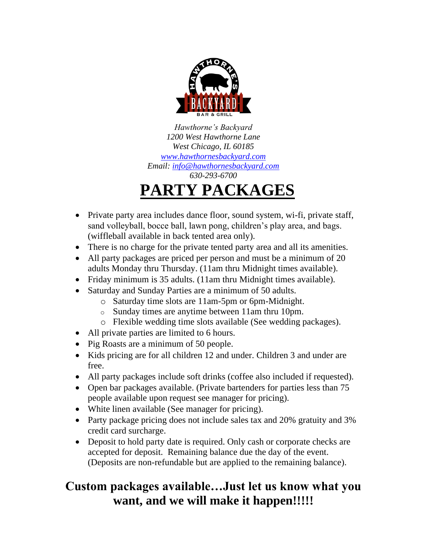

*Hawthorne's Backyard 1200 West Hawthorne Lane West Chicago, IL 60185 [www.hawthornesbackyard.com](http://www.hawthornesbackyard.com/) Email: [info@hawthornesbackyard.com](mailto:info@hawthornesbackyard.com) 630-293-6700*

# **PARTY PACKAGES**

- Private party area includes dance floor, sound system, wi-fi, private staff, sand volleyball, bocce ball, lawn pong, children's play area, and bags. (wiffleball available in back tented area only).
- There is no charge for the private tented party area and all its amenities.
- All party packages are priced per person and must be a minimum of 20 adults Monday thru Thursday. (11am thru Midnight times available).
- Friday minimum is 35 adults. (11am thru Midnight times available).
- Saturday and Sunday Parties are a minimum of 50 adults.
	- o Saturday time slots are 11am-5pm or 6pm-Midnight.
	- o Sunday times are anytime between 11am thru 10pm.
	- o Flexible wedding time slots available (See wedding packages).
- All private parties are limited to 6 hours.
- Pig Roasts are a minimum of 50 people.
- Kids pricing are for all children 12 and under. Children 3 and under are free.
- All party packages include soft drinks (coffee also included if requested).
- Open bar packages available. (Private bartenders for parties less than 75 people available upon request see manager for pricing).
- White linen available (See manager for pricing).
- Party package pricing does not include sales tax and 20% gratuity and 3% credit card surcharge.
- Deposit to hold party date is required. Only cash or corporate checks are accepted for deposit. Remaining balance due the day of the event. (Deposits are non-refundable but are applied to the remaining balance).

# **Custom packages available…Just let us know what you want, and we will make it happen!!!!!**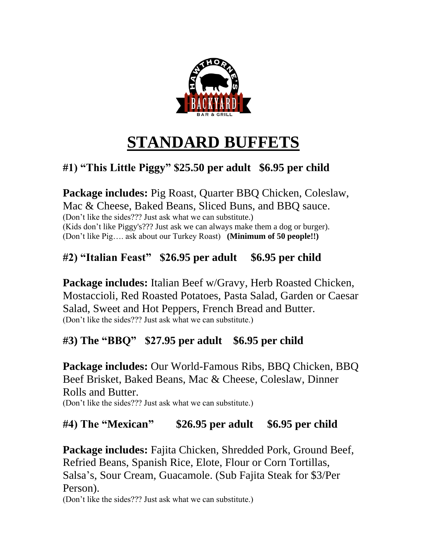

# **STANDARD BUFFETS**

# **#1) "This Little Piggy" \$25.50 per adult \$6.95 per child**

**Package includes:** Pig Roast, Quarter BBQ Chicken, Coleslaw, Mac & Cheese, Baked Beans, Sliced Buns, and BBO sauce. (Don't like the sides??? Just ask what we can substitute.) (Kids don't like Piggy's??? Just ask we can always make them a dog or burger). (Don't like Pig…. ask about our Turkey Roast) **(Minimum of 50 people!!)**

### **#2) "Italian Feast" \$26.95 per adult \$6.95 per child**

**Package includes:** Italian Beef w/Gravy, Herb Roasted Chicken, Mostaccioli, Red Roasted Potatoes, Pasta Salad, Garden or Caesar Salad, Sweet and Hot Peppers, French Bread and Butter. (Don't like the sides??? Just ask what we can substitute.)

### **#3) The "BBQ" \$27.95 per adult \$6.95 per child**

**Package includes:** Our World-Famous Ribs, BBQ Chicken, BBQ Beef Brisket, Baked Beans, Mac & Cheese, Coleslaw, Dinner Rolls and Butter. (Don't like the sides??? Just ask what we can substitute.)

#### **#4) The "Mexican" \$26.95 per adult \$6.95 per child**

**Package includes:** Fajita Chicken, Shredded Pork, Ground Beef, Refried Beans, Spanish Rice, Elote, Flour or Corn Tortillas, Salsa's, Sour Cream, Guacamole. (Sub Fajita Steak for \$3/Per Person). (Don't like the sides??? Just ask what we can substitute.)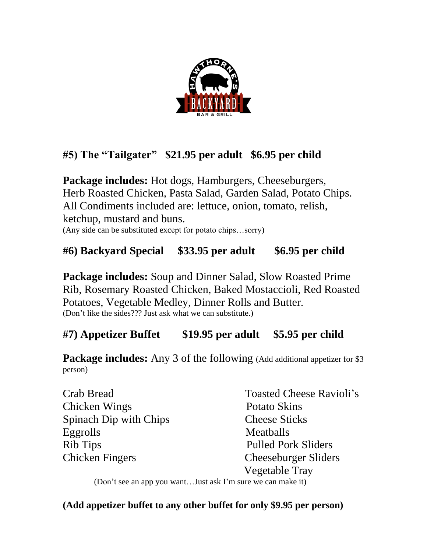

## **#5) The "Tailgater" \$21.95 per adult \$6.95 per child**

**Package includes:** Hot dogs, Hamburgers, Cheeseburgers, Herb Roasted Chicken, Pasta Salad, Garden Salad, Potato Chips. All Condiments included are: lettuce, onion, tomato, relish, ketchup, mustard and buns. (Any side can be substituted except for potato chips…sorry)

## **#6) Backyard Special \$33.95 per adult \$6.95 per child**

**Package includes:** Soup and Dinner Salad, Slow Roasted Prime Rib, Rosemary Roasted Chicken, Baked Mostaccioli, Red Roasted Potatoes, Vegetable Medley, Dinner Rolls and Butter. (Don't like the sides??? Just ask what we can substitute.)

### **#7) Appetizer Buffet \$19.95 per adult \$5.95 per child**

**Package includes:** Any 3 of the following (Add additional appetizer for \$3 person)

| Crab Bread                    | <b>Toasted Cheese Ravioli's</b> |
|-------------------------------|---------------------------------|
| Chicken Wings                 | Potato Skins                    |
| <b>Spinach Dip with Chips</b> | <b>Cheese Sticks</b>            |
| Eggrolls                      | Meatballs                       |
| Rib Tips                      | <b>Pulled Pork Sliders</b>      |
| <b>Chicken Fingers</b>        | <b>Cheeseburger Sliders</b>     |
|                               | Vegetable Tray                  |

(Don't see an app you want…Just ask I'm sure we can make it)

**(Add appetizer buffet to any other buffet for only \$9.95 per person)**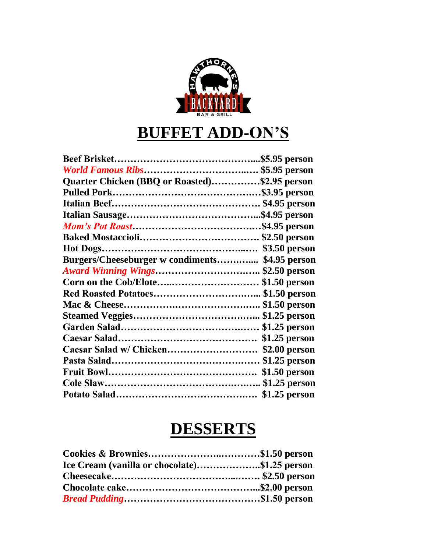

# **BUFFET ADD-ON'S**

| Quarter Chicken (BBQ or Roasted)\$2.95 person   |               |
|-------------------------------------------------|---------------|
|                                                 |               |
|                                                 |               |
|                                                 |               |
|                                                 |               |
|                                                 |               |
|                                                 |               |
| Burgers/Cheeseburger w condiments \$4.95 person |               |
| <b>Award Winning Wings \$2.50 person</b>        |               |
| Corn on the Cob/Elote\$1.50 person              |               |
|                                                 |               |
|                                                 |               |
|                                                 |               |
|                                                 |               |
|                                                 | \$1.25 person |
|                                                 | \$2.00 person |
|                                                 |               |
|                                                 |               |
|                                                 |               |
|                                                 |               |

# **DESSERTS**

| Ice Cream (vanilla or chocolate)\$1.25 person |  |
|-----------------------------------------------|--|
|                                               |  |
|                                               |  |
|                                               |  |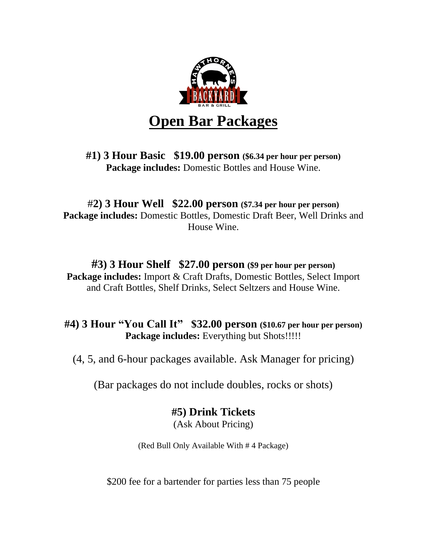

#### **#1) 3 Hour Basic \$19.00 person (\$6.34 per hour per person) Package includes:** Domestic Bottles and House Wine.

#### #**2) 3 Hour Well \$22.00 person (\$7.34 per hour per person) Package includes:** Domestic Bottles, Domestic Draft Beer, Well Drinks and House Wine.

#### **#3) 3 Hour Shelf \$27.00 person (\$9 per hour per person) Package includes:** Import & Craft Drafts, Domestic Bottles, Select Import and Craft Bottles, Shelf Drinks, Select Seltzers and House Wine.

#### **#4) 3 Hour "You Call It" \$32.00 person (\$10.67 per hour per person) Package includes:** Everything but Shots!!!!!

(4, 5, and 6-hour packages available. Ask Manager for pricing)

(Bar packages do not include doubles, rocks or shots)

## **#5) Drink Tickets**

(Ask About Pricing)

(Red Bull Only Available With # 4 Package)

\$200 fee for a bartender for parties less than 75 people